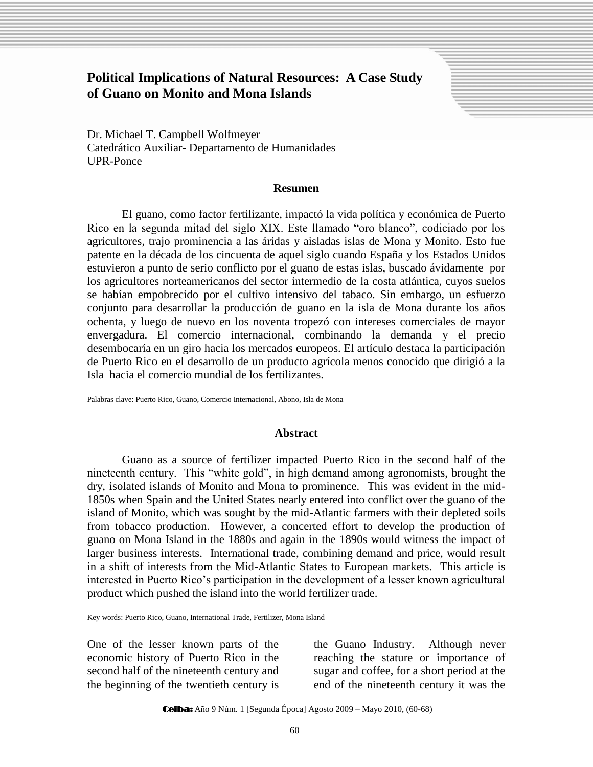# **Political Implications of Natural Resources: A Case Study of Guano on Monito and Mona Islands**

Dr. Michael T. Campbell Wolfmeyer Catedrático Auxiliar- Departamento de Humanidades UPR-Ponce

### **Resumen**

El guano, como factor fertilizante, impactó la vida política y económica de Puerto Rico en la segunda mitad del siglo XIX. Este llamado "oro blanco", codiciado por los agricultores, trajo prominencia a las áridas y aisladas islas de Mona y Monito. Esto fue patente en la década de los cincuenta de aquel siglo cuando España y los Estados Unidos estuvieron a punto de serio conflicto por el guano de estas islas, buscado ávidamente por los agricultores norteamericanos del sector intermedio de la costa atlántica, cuyos suelos se habían empobrecido por el cultivo intensivo del tabaco. Sin embargo, un esfuerzo conjunto para desarrollar la producción de guano en la isla de Mona durante los años ochenta, y luego de nuevo en los noventa tropezó con intereses comerciales de mayor envergadura. El comercio internacional, combinando la demanda y el precio desembocaría en un giro hacia los mercados europeos. El artículo destaca la participación de Puerto Rico en el desarrollo de un producto agrícola menos conocido que dirigió a la Isla hacia el comercio mundial de los fertilizantes.

Palabras clave: Puerto Rico, Guano, Comercio Internacional, Abono, Isla de Mona

#### **Abstract**

Guano as a source of fertilizer impacted Puerto Rico in the second half of the nineteenth century. This "white gold", in high demand among agronomists, brought the dry, isolated islands of Monito and Mona to prominence. This was evident in the mid-1850s when Spain and the United States nearly entered into conflict over the guano of the island of Monito, which was sought by the mid-Atlantic farmers with their depleted soils from tobacco production. However, a concerted effort to develop the production of guano on Mona Island in the 1880s and again in the 1890s would witness the impact of larger business interests. International trade, combining demand and price, would result in a shift of interests from the Mid-Atlantic States to European markets. This article is interested in Puerto Rico's participation in the development of a lesser known agricultural product which pushed the island into the world fertilizer trade.

Key words: Puerto Rico, Guano, International Trade, Fertilizer, Mona Island

One of the lesser known parts of the economic history of Puerto Rico in the second half of the nineteenth century and the beginning of the twentieth century is

the Guano Industry. Although never reaching the stature or importance of sugar and coffee, for a short period at the end of the nineteenth century it was the

Sheila Barrios Rosario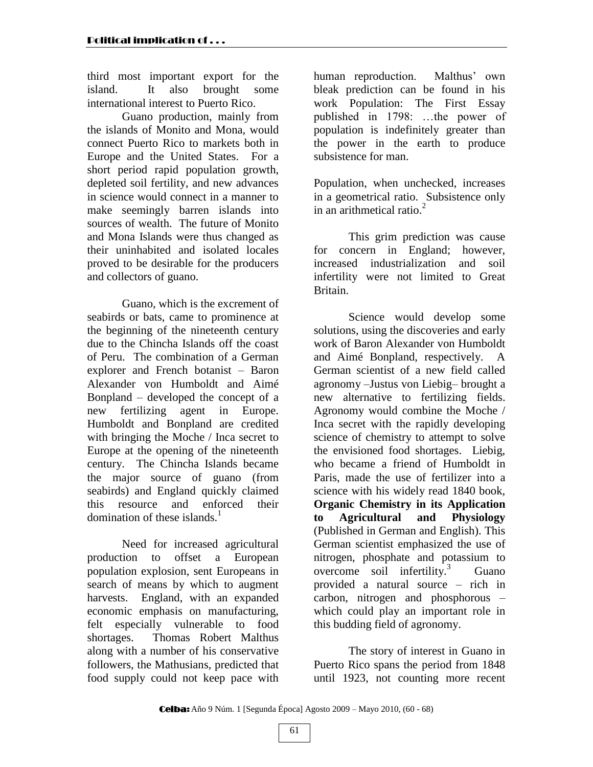third most important export for the island. It also brought some international interest to Puerto Rico.

Guano production, mainly from the islands of Monito and Mona, would connect Puerto Rico to markets both in Europe and the United States. For a short period rapid population growth, depleted soil fertility, and new advances in science would connect in a manner to make seemingly barren islands into sources of wealth. The future of Monito and Mona Islands were thus changed as their uninhabited and isolated locales proved to be desirable for the producers and collectors of guano.

Guano, which is the excrement of seabirds or bats, came to prominence at the beginning of the nineteenth century due to the Chincha Islands off the coast of Peru. The combination of a German explorer and French botanist – Baron Alexander von Humboldt and Aimé Bonpland – developed the concept of a new fertilizing agent in Europe. Humboldt and Bonpland are credited with bringing the Moche / Inca secret to Europe at the opening of the nineteenth century. The Chincha Islands became the major source of guano (from seabirds) and England quickly claimed this resource and enforced their domination of these islands. $<sup>1</sup>$ </sup>

Need for increased agricultural production to offset a European population explosion, sent Europeans in search of means by which to augment harvests. England, with an expanded economic emphasis on manufacturing, felt especially vulnerable to food shortages. Thomas Robert Malthus along with a number of his conservative followers, the Mathusians, predicted that food supply could not keep pace with

human reproduction. Malthus' own bleak prediction can be found in his work Population: The First Essay published in 1798: …the power of population is indefinitely greater than the power in the earth to produce subsistence for man.

Population, when unchecked, increases in a geometrical ratio. Subsistence only in an arithmetical ratio. $2<sup>2</sup>$ 

This grim prediction was cause for concern in England; however, increased industrialization and soil infertility were not limited to Great Britain.

Science would develop some solutions, using the discoveries and early work of Baron Alexander von Humboldt and Aimé Bonpland, respectively. A German scientist of a new field called agronomy –Justus von Liebig– brought a new alternative to fertilizing fields. Agronomy would combine the Moche / Inca secret with the rapidly developing science of chemistry to attempt to solve the envisioned food shortages. Liebig, who became a friend of Humboldt in Paris, made the use of fertilizer into a science with his widely read 1840 book, **Organic Chemistry in its Application to Agricultural and Physiology** (Published in German and English). This German scientist emphasized the use of nitrogen, phosphate and potassium to overcome soil infertility.<sup>3</sup> Guano provided a natural source – rich in carbon, nitrogen and phosphorous – which could play an important role in this budding field of agronomy.

The story of interest in Guano in Puerto Rico spans the period from 1848 until 1923, not counting more recent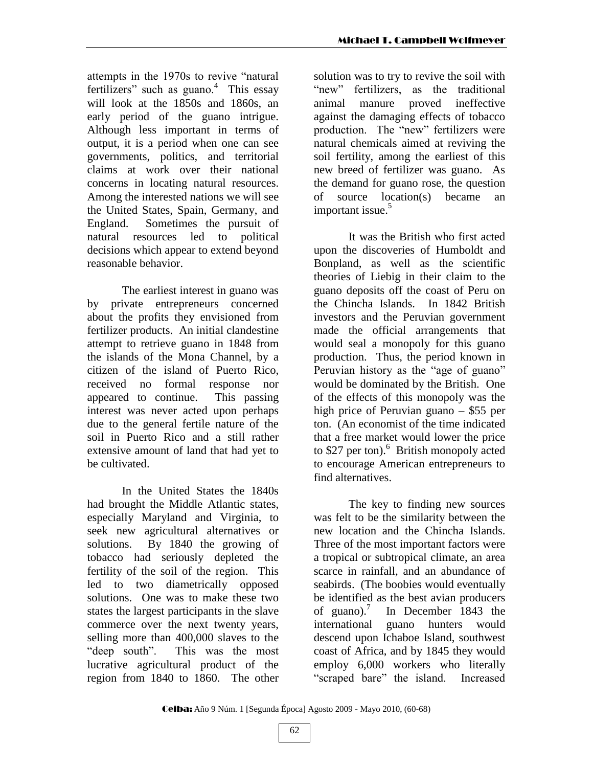attempts in the 1970s to revive "natural" fertilizers" such as guano. $4$  This essay will look at the 1850s and 1860s, an early period of the guano intrigue. Although less important in terms of output, it is a period when one can see governments, politics, and territorial claims at work over their national concerns in locating natural resources. Among the interested nations we will see the United States, Spain, Germany, and England. Sometimes the pursuit of natural resources led to political decisions which appear to extend beyond reasonable behavior.

The earliest interest in guano was by private entrepreneurs concerned about the profits they envisioned from fertilizer products. An initial clandestine attempt to retrieve guano in 1848 from the islands of the Mona Channel, by a citizen of the island of Puerto Rico, received no formal response nor appeared to continue. This passing interest was never acted upon perhaps due to the general fertile nature of the soil in Puerto Rico and a still rather extensive amount of land that had yet to be cultivated.

In the United States the 1840s had brought the Middle Atlantic states, especially Maryland and Virginia, to seek new agricultural alternatives or solutions. By 1840 the growing of tobacco had seriously depleted the fertility of the soil of the region. This led to two diametrically opposed solutions. One was to make these two states the largest participants in the slave commerce over the next twenty years, selling more than 400,000 slaves to the "deep south". This was the most lucrative agricultural product of the region from 1840 to 1860. The other

solution was to try to revive the soil with "new" fertilizers, as the traditional animal manure proved ineffective against the damaging effects of tobacco production. The "new" fertilizers were natural chemicals aimed at reviving the soil fertility, among the earliest of this new breed of fertilizer was guano. As the demand for guano rose, the question of source location(s) became an important issue.<sup>5</sup>

It was the British who first acted upon the discoveries of Humboldt and Bonpland, as well as the scientific theories of Liebig in their claim to the guano deposits off the coast of Peru on the Chincha Islands. In 1842 British investors and the Peruvian government made the official arrangements that would seal a monopoly for this guano production. Thus, the period known in Peruvian history as the "age of guano" would be dominated by the British. One of the effects of this monopoly was the high price of Peruvian guano – \$55 per ton. (An economist of the time indicated that a free market would lower the price to \$27 per ton).<sup>6</sup> British monopoly acted to encourage American entrepreneurs to find alternatives.

The key to finding new sources was felt to be the similarity between the new location and the Chincha Islands. Three of the most important factors were a tropical or subtropical climate, an area scarce in rainfall, and an abundance of seabirds. (The boobies would eventually be identified as the best avian producers of guano). $\prime$ In December 1843 the international guano hunters would descend upon Ichaboe Island, southwest coast of Africa, and by 1845 they would employ 6,000 workers who literally "scraped bare" the island. Increased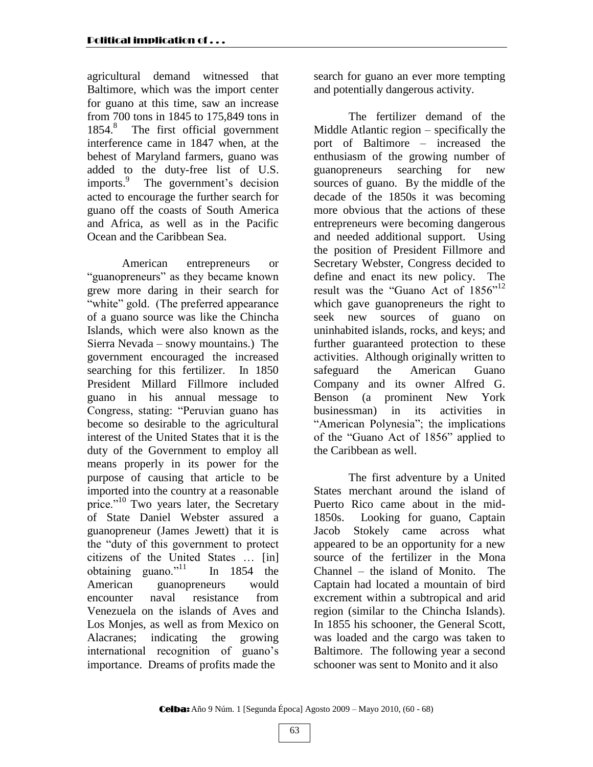agricultural demand witnessed that Baltimore, which was the import center for guano at this time, saw an increase from 700 tons in 1845 to 175,849 tons in 1854.<sup>8</sup> The first official government interference came in 1847 when, at the behest of Maryland farmers, guano was added to the duty-free list of U.S. imports.<sup>9</sup> The government's decision acted to encourage the further search for guano off the coasts of South America and Africa, as well as in the Pacific Ocean and the Caribbean Sea.

American entrepreneurs or "guanopreneurs" as they became known grew more daring in their search for "white" gold. (The preferred appearance of a guano source was like the Chincha Islands, which were also known as the Sierra Nevada – snowy mountains.) The government encouraged the increased searching for this fertilizer. In 1850 President Millard Fillmore included guano in his annual message to Congress, stating: "Peruvian guano has become so desirable to the agricultural interest of the United States that it is the duty of the Government to employ all means properly in its power for the purpose of causing that article to be imported into the country at a reasonable price."<sup>10</sup> Two years later, the Secretary of State Daniel Webster assured a guanopreneur (James Jewett) that it is the "duty of this government to protect" citizens of the United States … [in] obtaining guano."<sup>11</sup> In 1854 the American guanopreneurs would encounter naval resistance from Venezuela on the islands of Aves and Los Monies, as well as from Mexico on Alacranes; indicating the growing international recognition of guano's importance. Dreams of profits made the

search for guano an ever more tempting and potentially dangerous activity.

The fertilizer demand of the Middle Atlantic region – specifically the port of Baltimore – increased the enthusiasm of the growing number of guanopreneurs searching for new sources of guano. By the middle of the decade of the 1850s it was becoming more obvious that the actions of these entrepreneurs were becoming dangerous and needed additional support. Using the position of President Fillmore and Secretary Webster, Congress decided to define and enact its new policy. The result was the "Guano Act of  $1856$ "<sup>12</sup> which gave guanopreneurs the right to seek new sources of guano on uninhabited islands, rocks, and keys; and further guaranteed protection to these activities. Although originally written to safeguard the American Guano Company and its owner Alfred G. Benson (a prominent New York businessman) in its activities in "American Polynesia"; the implications of the "Guano Act of 1856" applied to the Caribbean as well.

The first adventure by a United States merchant around the island of Puerto Rico came about in the mid-1850s. Looking for guano, Captain Jacob Stokely came across what appeared to be an opportunity for a new source of the fertilizer in the Mona Channel – the island of Monito. The Captain had located a mountain of bird excrement within a subtropical and arid region (similar to the Chincha Islands). In 1855 his schooner, the General Scott, was loaded and the cargo was taken to Baltimore. The following year a second schooner was sent to Monito and it also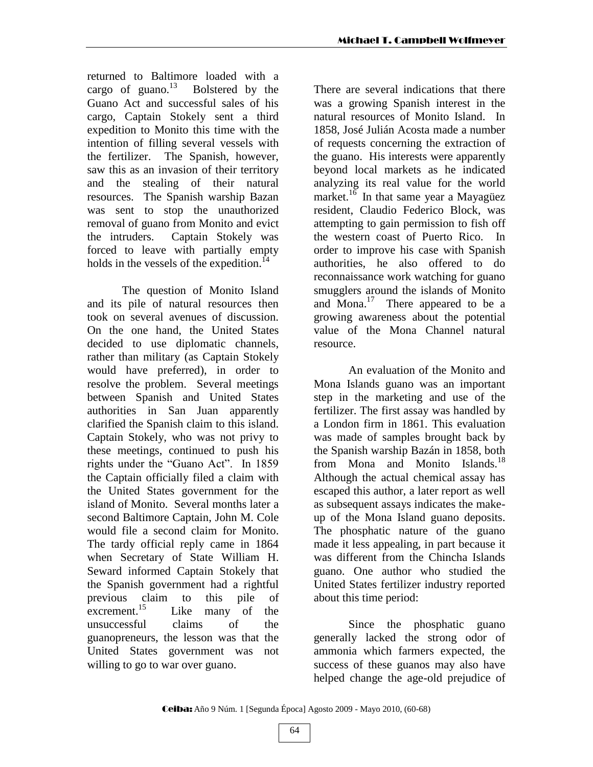returned to Baltimore loaded with a cargo of guano. $^{13}$  Bolstered by the Guano Act and successful sales of his cargo, Captain Stokely sent a third expedition to Monito this time with the intention of filling several vessels with the fertilizer. The Spanish, however, saw this as an invasion of their territory and the stealing of their natural resources. The Spanish warship Bazan was sent to stop the unauthorized removal of guano from Monito and evict the intruders. Captain Stokely was forced to leave with partially empty holds in the vessels of the expedition.<sup>14</sup>

The question of Monito Island and its pile of natural resources then took on several avenues of discussion. On the one hand, the United States decided to use diplomatic channels, rather than military (as Captain Stokely would have preferred), in order to resolve the problem. Several meetings between Spanish and United States authorities in San Juan apparently clarified the Spanish claim to this island. Captain Stokely, who was not privy to these meetings, continued to push his rights under the "Guano Act". In 1859 the Captain officially filed a claim with the United States government for the island of Monito. Several months later a second Baltimore Captain, John M. Cole would file a second claim for Monito. The tardy official reply came in 1864 when Secretary of State William H. Seward informed Captain Stokely that the Spanish government had a rightful previous claim to this pile of excrement.<sup>15</sup> Like many of the unsuccessful claims of the guanopreneurs, the lesson was that the United States government was not willing to go to war over guano.

There are several indications that there was a growing Spanish interest in the natural resources of Monito Island. In 1858, José Julián Acosta made a number of requests concerning the extraction of the guano. His interests were apparently beyond local markets as he indicated analyzing its real value for the world market.<sup>16</sup> In that same year a Mayagüez resident, Claudio Federico Block, was attempting to gain permission to fish off the western coast of Puerto Rico. In order to improve his case with Spanish authorities, he also offered to do reconnaissance work watching for guano smugglers around the islands of Monito and Mona.<sup>17</sup> There appeared to be a growing awareness about the potential value of the Mona Channel natural resource.

An evaluation of the Monito and Mona Islands guano was an important step in the marketing and use of the fertilizer. The first assay was handled by a London firm in 1861. This evaluation was made of samples brought back by the Spanish warship Bazán in 1858, both from Mona and Monito Islands.<sup>18</sup> Although the actual chemical assay has escaped this author, a later report as well as subsequent assays indicates the makeup of the Mona Island guano deposits. The phosphatic nature of the guano made it less appealing, in part because it was different from the Chincha Islands guano. One author who studied the United States fertilizer industry reported about this time period:

Since the phosphatic guano generally lacked the strong odor of ammonia which farmers expected, the success of these guanos may also have helped change the age-old prejudice of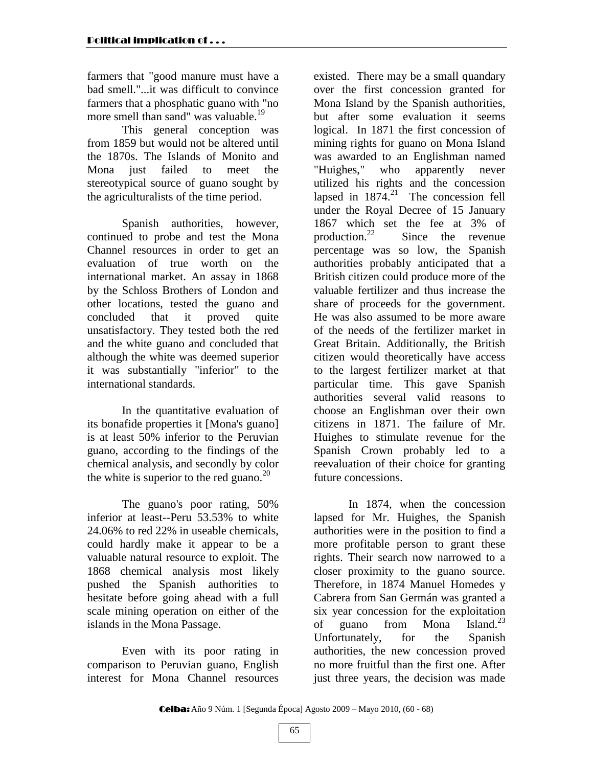farmers that "good manure must have a bad smell."...it was difficult to convince farmers that a phosphatic guano with "no more smell than sand" was valuable.<sup>19</sup>

This general conception was from 1859 but would not be altered until the 1870s. The Islands of Monito and Mona just failed to meet the stereotypical source of guano sought by the agriculturalists of the time period.

Spanish authorities, however, continued to probe and test the Mona Channel resources in order to get an evaluation of true worth on the international market. An assay in 1868 by the Schloss Brothers of London and other locations, tested the guano and concluded that it proved quite unsatisfactory. They tested both the red and the white guano and concluded that although the white was deemed superior it was substantially "inferior" to the international standards.

In the quantitative evaluation of its bonafide properties it [Mona's guano] is at least 50% inferior to the Peruvian guano, according to the findings of the chemical analysis, and secondly by color the white is superior to the red guano.<sup>20</sup>

The guano's poor rating, 50% inferior at least--Peru 53.53% to white 24.06% to red 22% in useable chemicals, could hardly make it appear to be a valuable natural resource to exploit. The 1868 chemical analysis most likely pushed the Spanish authorities to hesitate before going ahead with a full scale mining operation on either of the islands in the Mona Passage.

Even with its poor rating in comparison to Peruvian guano, English interest for Mona Channel resources

existed. There may be a small quandary over the first concession granted for Mona Island by the Spanish authorities, but after some evaluation it seems logical. In 1871 the first concession of mining rights for guano on Mona Island was awarded to an Englishman named "Huighes," who apparently never utilized his rights and the concession lapsed in  $1874$ <sup>21</sup>. The concession fell under the Royal Decree of 15 January 1867 which set the fee at 3% of production. $^{22}$ Since the revenue percentage was so low, the Spanish authorities probably anticipated that a British citizen could produce more of the valuable fertilizer and thus increase the share of proceeds for the government. He was also assumed to be more aware of the needs of the fertilizer market in Great Britain. Additionally, the British citizen would theoretically have access to the largest fertilizer market at that particular time. This gave Spanish authorities several valid reasons to choose an Englishman over their own citizens in 1871. The failure of Mr. Huighes to stimulate revenue for the Spanish Crown probably led to a reevaluation of their choice for granting future concessions.

In 1874, when the concession lapsed for Mr. Huighes, the Spanish authorities were in the position to find a more profitable person to grant these rights. Their search now narrowed to a closer proximity to the guano source. Therefore, in 1874 Manuel Homedes y Cabrera from San Germán was granted a six year concession for the exploitation of guano from Mona Island.<sup>23</sup> Unfortunately, for the Spanish authorities, the new concession proved no more fruitful than the first one. After just three years, the decision was made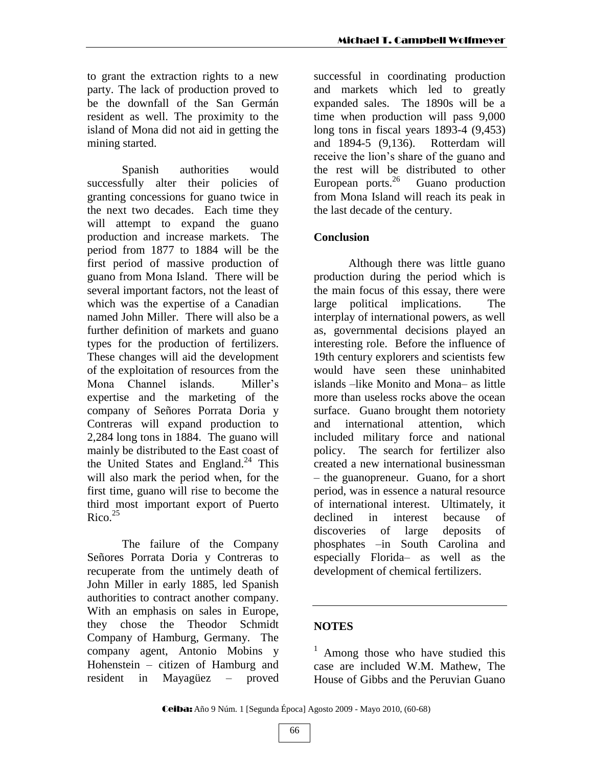to grant the extraction rights to a new party. The lack of production proved to be the downfall of the San Germán resident as well. The proximity to the island of Mona did not aid in getting the mining started.

Spanish authorities would successfully alter their policies of granting concessions for guano twice in the next two decades. Each time they will attempt to expand the guano production and increase markets. The period from 1877 to 1884 will be the first period of massive production of guano from Mona Island. There will be several important factors, not the least of which was the expertise of a Canadian named John Miller. There will also be a further definition of markets and guano types for the production of fertilizers. These changes will aid the development of the exploitation of resources from the Mona Channel islands. Miller's expertise and the marketing of the company of Señores Porrata Doria y Contreras will expand production to 2,284 long tons in 1884. The guano will mainly be distributed to the East coast of the United States and England.<sup>24</sup> This will also mark the period when, for the first time, guano will rise to become the third most important export of Puerto Rico. 25

The failure of the Company Señores Porrata Doria y Contreras to recuperate from the untimely death of John Miller in early 1885, led Spanish authorities to contract another company. With an emphasis on sales in Europe, they chose the Theodor Schmidt Company of Hamburg, Germany. The company agent, Antonio Mobins y Hohenstein – citizen of Hamburg and resident in Mayagüez – proved

successful in coordinating production and markets which led to greatly expanded sales. The 1890s will be a time when production will pass 9,000 long tons in fiscal years 1893-4 (9,453) and 1894-5 (9,136). Rotterdam will receive the lion's share of the guano and the rest will be distributed to other European ports. $^{26}$  Guano production from Mona Island will reach its peak in the last decade of the century.

## **Conclusion**

Although there was little guano production during the period which is the main focus of this essay, there were large political implications. The interplay of international powers, as well as, governmental decisions played an interesting role. Before the influence of 19th century explorers and scientists few would have seen these uninhabited islands –like Monito and Mona– as little more than useless rocks above the ocean surface. Guano brought them notoriety and international attention, which included military force and national policy. The search for fertilizer also created a new international businessman – the guanopreneur. Guano, for a short period, was in essence a natural resource of international interest. Ultimately, it declined in interest because of discoveries of large deposits of phosphates –in South Carolina and especially Florida– as well as the development of chemical fertilizers.

## **NOTES**

<sup>1</sup> Among those who have studied this case are included W.M. Mathew, The House of Gibbs and the Peruvian Guano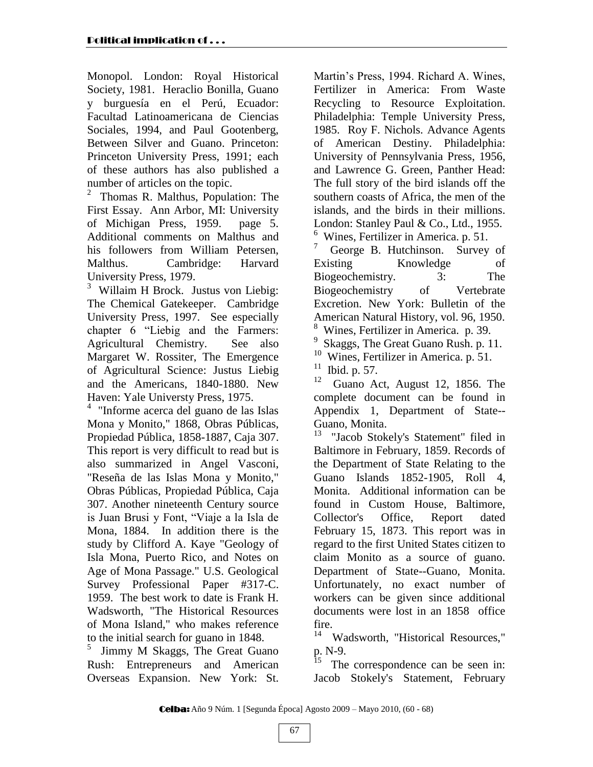Monopol. London: Royal Historical Society, 1981. Heraclio Bonilla, Guano y burguesía en el Perú, Ecuador: Facultad Latinoamericana de Ciencias Sociales, 1994, and Paul Gootenberg. Between Silver and Guano. Princeton: Princeton University Press, 1991; each of these authors has also published a number of articles on the topic.

<sup>2</sup> Thomas R. Malthus, Population: The First Essay. Ann Arbor, MI: University of Michigan Press, 1959. page 5. Additional comments on Malthus and his followers from William Petersen, Malthus. Cambridge: Harvard University Press, 1979.

3 Willaim H Brock. Justus von Liebig: The Chemical Gatekeeper. Cambridge University Press, 1997. See especially chapter 6 "Liebig and the Farmers: Agricultural Chemistry. See also Margaret W. Rossiter, The Emergence of Agricultural Science: Justus Liebig and the Americans, 1840-1880. New Haven: Yale Universty Press, 1975.

4 "Informe acerca del guano de las Islas Mona y Monito," 1868, Obras Públicas, Propiedad Pública, 1858-1887, Caja 307. This report is very difficult to read but is also summarized in Angel Vasconi, "Reseña de las Islas Mona y Monito," Obras Públicas, Propiedad Pública, Caja 307. Another nineteenth Century source is Juan Brusi y Font, "Viaje a la Isla de Mona, 1884. In addition there is the study by Clifford A. Kaye "Geology of Isla Mona, Puerto Rico, and Notes on Age of Mona Passage." U.S. Geological Survey Professional Paper #317-C. 1959. The best work to date is Frank H. Wadsworth, "The Historical Resources of Mona Island," who makes reference to the initial search for guano in 1848.

5 Jimmy M Skaggs, The Great Guano Rush: Entrepreneurs and American Overseas Expansion. New York: St.

Martin's Press, 1994. Richard A. Wines, Fertilizer in America: From Waste Recycling to Resource Exploitation. Philadelphia: Temple University Press, 1985. Roy F. Nichols. Advance Agents of American Destiny. Philadelphia: University of Pennsylvania Press, 1956, and Lawrence G. Green, Panther Head: The full story of the bird islands off the southern coasts of Africa, the men of the islands, and the birds in their millions. London: Stanley Paul & Co., Ltd., 1955. 6 Wines, Fertilizer in America. p. 51.

7 George B. Hutchinson. Survey of Existing Knowledge of Biogeochemistry. 3: The Biogeochemistry of Vertebrate Excretion. New York: Bulletin of the American Natural History, vol. 96, 1950. 8 Wines, Fertilizer in America. p. 39.

9 Skaggs, The Great Guano Rush. p. 11.

10 Wines, Fertilizer in America. p. 51.

 $11$  Ibid. p. 57.

12 Guano Act, August 12, 1856. The complete document can be found in Appendix 1, Department of State-- Guano, Monita.

13 "Jacob Stokely's Statement" filed in Baltimore in February, 1859. Records of the Department of State Relating to the Guano Islands 1852-1905, Roll 4, Monita. Additional information can be found in Custom House, Baltimore, Collector's Office, Report dated February 15, 1873. This report was in regard to the first United States citizen to claim Monito as a source of guano. Department of State--Guano, Monita. Unfortunately, no exact number of workers can be given since additional documents were lost in an 1858 office fire.

<sup>14</sup> Wadsworth, "Historical Resources," p. N-9.

 The correspondence can be seen in: Jacob Stokely's Statement, February